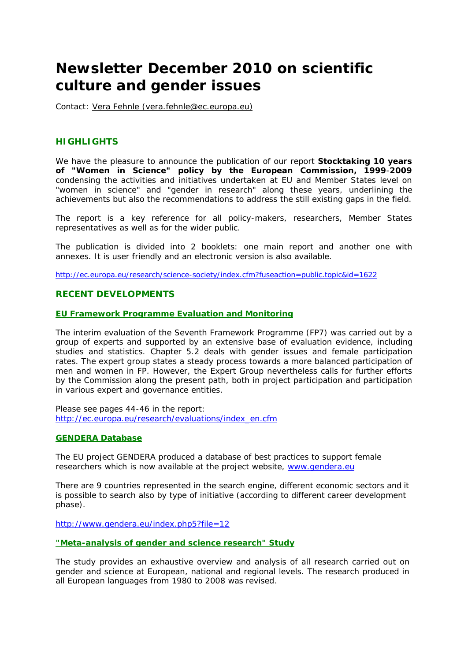# **Newsletter December 2010 on scientific culture and gender issues**

Contact: Vera Fehnle (vera.fehnle@ec.europa.eu)

## **HIGHLIGHTS**

We have the pleasure to announce the publication of our report **Stocktaking 10 years of "Women in Science" policy by the European Commission, 1999**-**2009** condensing the activities and initiatives undertaken at EU and Member States level on "women in science" and "gender in research" along these years, underlining the achievements but also the recommendations to address the still existing gaps in the field.

The report is a key reference for all policy-makers, researchers, Member States representatives as well as for the wider public.

The publication is divided into 2 booklets: one main report and another one with annexes. It is user friendly and an electronic version is also available.

http://ec.europa.eu/research/science-society/index.cfm?fuseaction=public.topic&id=1622

# **RECENT DEVELOPMENTS**

## **EU Framework Programme Evaluation and Monitoring**

The interim evaluation of the Seventh Framework Programme (FP7) was carried out by a group of experts and supported by an extensive base of evaluation evidence, including studies and statistics. Chapter 5.2 deals with gender issues and female participation rates. The expert group states a steady process towards a more balanced participation of men and women in FP. However, the Expert Group nevertheless calls for further efforts by the Commission along the present path, both in project participation and participation in various expert and governance entities.

Please see pages 44-46 in the report: http://ec.europa.eu/research/evaluations/index\_en.cfm

## **GENDERA Database**

The EU project GENDERA produced a database of best practices to support female researchers which is now available at the project website, www.gendera.eu

There are 9 countries represented in the search engine, different economic sectors and it is possible to search also by type of initiative (according to different career development phase).

http://www.gendera.eu/index.php5?file=12

**"Meta-analysis of gender and science research" Study**

The study provides an exhaustive overview and analysis of all research carried out on gender and science at European, national and regional levels. The research produced in all European languages from 1980 to 2008 was revised.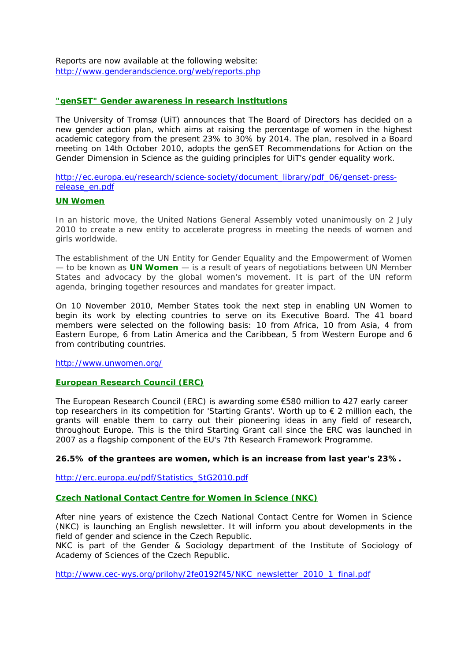Reports are now available at the following website: http://www.genderandscience.org/web/reports.php

## **"genSET" Gender awareness in research institutions**

The University of Tromsø (UiT) announces that The Board of Directors has decided on a new gender action plan, which aims at raising the percentage of women in the highest academic category from the present 23% to 30% by 2014. The plan, resolved in a Board meeting on 14th October 2010, adopts the genSET Recommendations for Action on the Gender Dimension in Science as the guiding principles for UiT's gender equality work.

http://ec.europa.eu/research/science-society/document\_library/pdf\_06/genset-pressrelease\_en.pdf

#### **UN Women**

In an historic move, the United Nations General Assembly voted unanimously on 2 July 2010 to create a new entity to accelerate progress in meeting the needs of women and girls worldwide.

The establishment of the UN Entity for Gender Equality and the Empowerment of Women — to be known as **UN Women** — is a result of years of negotiations between UN Member States and advocacy by the global women's movement. It is part of the UN reform agenda, bringing together resources and mandates for greater impact.

On 10 November 2010, Member States took the next step in enabling UN Women to begin its work by electing countries to serve on its Executive Board. The 41 board members were selected on the following basis: 10 from Africa, 10 from Asia, 4 from Eastern Europe, 6 from Latin America and the Caribbean, 5 from Western Europe and 6 from contributing countries.

http://www.unwomen.org/

## **European Research Council (ERC)**

The European Research Council (ERC) is awarding some €580 million to 427 early career top researchers in its competition for 'Starting Grants'. Worth up to € 2 million each, the grants will enable them to carry out their pioneering ideas in any field of research, throughout Europe. This is the third Starting Grant call since the ERC was launched in 2007 as a flagship component of the EU's 7th Research Framework Programme.

**26.5% of the grantees are women, which is an increase from last year's 23%.**

http://erc.europa.eu/pdf/Statistics\_StG2010.pdf

**Czech National Contact Centre for Women in Science (NKC)**

After nine years of existence the Czech National Contact Centre for Women in Science (NKC) is launching an English newsletter. It will inform you about developments in the field of gender and science in the Czech Republic.

NKC is part of the Gender & Sociology department of the Institute of Sociology of Academy of Sciences of the Czech Republic.

http://www.cec-wys.org/prilohy/2fe0192f45/NKC\_newsletter\_2010\_1\_final.pdf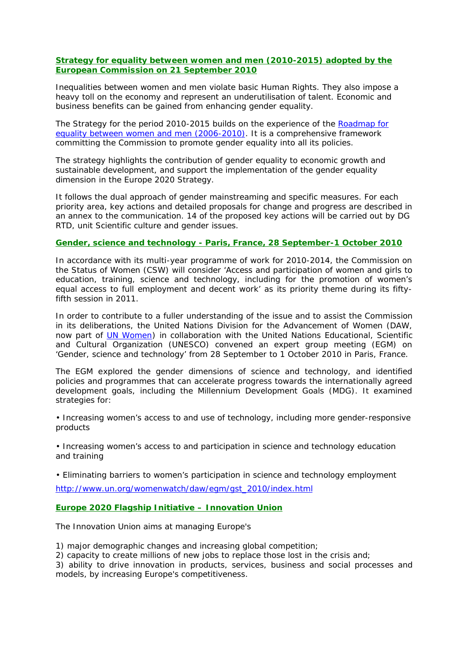**Strategy for equality between women and men (2010-2015) adopted by the European Commission on 21 September 2010**

Inequalities between women and men violate basic Human Rights. They also impose a heavy toll on the economy and represent an underutilisation of talent. Economic and business benefits can be gained from enhancing gender equality.

The Strategy for the period 2010-2015 builds on the experience of the Roadmap for equality between women and men (2006-2010). It is a comprehensive framework committing the Commission to promote gender equality into all its policies.

The strategy highlights the contribution of gender equality to economic growth and sustainable development, and support the implementation of the gender equality dimension in the Europe 2020 Strategy.

It follows the dual approach of gender mainstreaming and specific measures. For each priority area, key actions and detailed proposals for change and progress are described in an annex to the communication. 14 of the proposed key actions will be carried out by DG RTD, unit Scientific culture and gender issues.

#### **Gender, science and technology - Paris, France, 28 September-1 October 2010**

In accordance with its multi-year programme of work for 2010-2014, the Commission on the Status of Women (CSW) will consider 'Access and participation of women and girls to education, training, science and technology, including for the promotion of women's equal access to full employment and decent work' as its priority theme during its fiftyfifth session in 2011.

In order to contribute to a fuller understanding of the issue and to assist the Commission in its deliberations, the United Nations Division for the Advancement of Women (DAW, now part of UN Women) in collaboration with the United Nations Educational, Scientific and Cultural Organization (UNESCO) convened an expert group meeting (EGM) on 'Gender, science and technology' from 28 September to 1 October 2010 in Paris, France.

The EGM explored the gender dimensions of science and technology, and identified policies and programmes that can accelerate progress towards the internationally agreed development goals, including the Millennium Development Goals (MDG). It examined strategies for:

• Increasing women's access to and use of technology, including more gender-responsive products

• Increasing women's access to and participation in science and technology education and training

• Eliminating barriers to women's participation in science and technology employment http://www.un.org/womenwatch/daw/egm/gst\_2010/index.html

**Europe 2020 Flagship Initiative – Innovation Union**

The Innovation Union aims at managing Europe's

1) major demographic changes and increasing global competition;

2) capacity to create millions of new jobs to replace those lost in the crisis and;

3) ability to drive innovation in products, services, business and social processes and models, by increasing Europe's competitiveness.